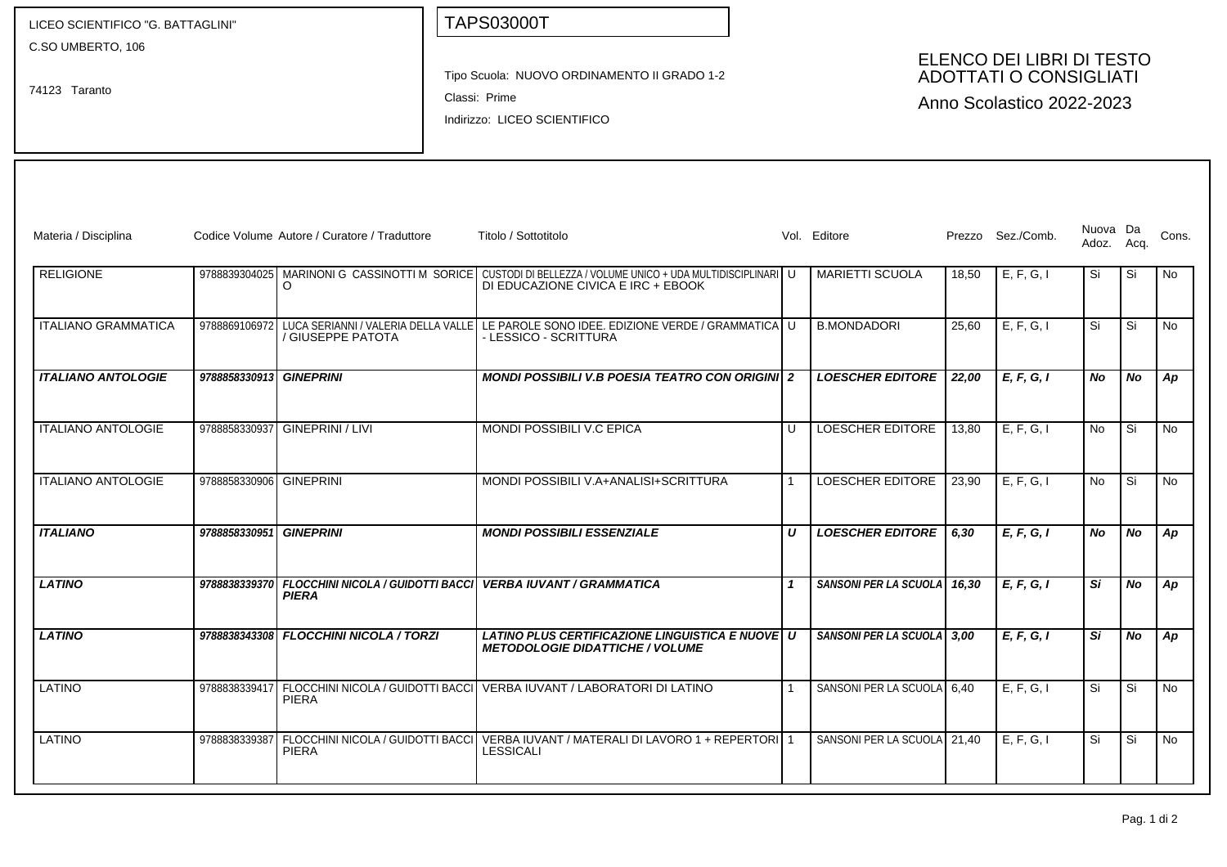| LICEO SCIENTIFICO "G. BATTAGLINI"  |                         |                                                          | <b>TAPS03000T</b>                                                                                                                               |                |                                                                                         |       |                   |                        |           |           |  |  |
|------------------------------------|-------------------------|----------------------------------------------------------|-------------------------------------------------------------------------------------------------------------------------------------------------|----------------|-----------------------------------------------------------------------------------------|-------|-------------------|------------------------|-----------|-----------|--|--|
| C.SO UMBERTO, 106<br>74123 Taranto |                         |                                                          | Tipo Scuola: NUOVO ORDINAMENTO II GRADO 1-2<br>Classi: Prime<br>Indirizzo: LICEO SCIENTIFICO                                                    |                | ELENCO DEI LIBRI DI TESTO<br><b>ADOTTATI O CONSIGLIATI</b><br>Anno Scolastico 2022-2023 |       |                   |                        |           |           |  |  |
| Materia / Disciplina               |                         | Codice Volume Autore / Curatore / Traduttore             | Titolo / Sottotitolo                                                                                                                            |                | Vol. Editore                                                                            |       | Prezzo Sez./Comb. | Nuova Da<br>Adoz. Acq. |           | Cons.     |  |  |
| <b>RELIGIONE</b>                   |                         | O                                                        | 9788839304025 MARINONI G CASSINOTTI M SORICE CUSTODI DI BELLEZZA / VOLUME UNICO + UDA MULTIDISCIPLINARI U<br>DI EDUCAZIONE CIVICA E IRC + EBOOK |                | <b>MARIETTI SCUOLA</b>                                                                  | 18,50 | E, F, G, I        | Si                     | Si Si     | No        |  |  |
| <b>ITALIANO GRAMMATICA</b>         |                         | / GIUSEPPE PATOTA                                        | 9788869106972 LUCA SERIANNI / VALERIA DELLA VALLE LE PAROLE SONO IDEE. EDIZIONE VERDE / GRAMMATICA LU<br>- LESSICO - SCRITTURA                  |                | <b>B.MONDADORI</b>                                                                      | 25,60 | E, F, G, I        | Si                     | l Si      | <b>No</b> |  |  |
| <b>ITALIANO ANTOLOGIE</b>          | 9788858330913 GINEPRINI |                                                          | <b>MONDI POSSIBILI V.B POESIA TEATRO CON ORIGINI 2</b>                                                                                          |                | <b>LOESCHER EDITORE</b>                                                                 | 22,00 | E, F, G, I        | No.                    | <b>No</b> | Ap        |  |  |
| <b>ITALIANO ANTOLOGIE</b>          | 9788858330937           | GINEPRINI / LIVI                                         | MONDI POSSIBILI V.C EPICA                                                                                                                       | $\cup$         | LOESCHER EDITORE                                                                        | 13,80 | E, F, G, I        | No                     | Si.       | <b>No</b> |  |  |
| <b>ITALIANO ANTOLOGIE</b>          | 9788858330906 GINEPRINI |                                                          | MONDI POSSIBILI V.A+ANALISI+SCRITTURA                                                                                                           | $\overline{1}$ | <b>LOESCHER EDITORE</b>                                                                 | 23,90 | E, F, G, I        | No                     | l Si      | <b>No</b> |  |  |
| <b>ITALIANO</b>                    | 9788858330951           | <b>GINEPRINI</b>                                         | <b>MONDI POSSIBILI ESSENZIALE</b>                                                                                                               | U              | <b>LOESCHER EDITORE</b>                                                                 | 6,30  | E, F, G, I        | No.                    | <b>No</b> | Ap        |  |  |
| <b>LATINO</b>                      | 9788838339370           | <b>FLOCCHINI NICOLA / GUIDOTTI BACCI</b><br><b>PIERA</b> | <b>VERBA IUVANT / GRAMMATICA</b>                                                                                                                | $\mathbf{1}$   | SANSONI PER LA SCUOLA                                                                   | 16,30 | E, F, G, I        | Si                     | <b>No</b> | Ap        |  |  |
| <b>LATINO</b>                      |                         | 9788838343308 FLOCCHINI NICOLA / TORZI                   | LATINO PLUS CERTIFICAZIONE LINGUISTICA E NUOVE   U<br><b>METODOLOGIE DIDATTICHE / VOLUME</b>                                                    |                | SANSONI PER LA SCUOLA                                                                   | 3,00  | E, F, G, I        | Si                     | <b>No</b> | Ap        |  |  |
| <b>LATINO</b>                      | 9788838339417           | <b>PIERA</b>                                             | FLOCCHINI NICOLA / GUIDOTTI BACCI   VERBA IUVANT / LABORATORI DI LATINO                                                                         | -1             | SANSONI PER LA SCUOLA                                                                   | 6.40  | E, F, G, I        | Si                     | Si        | <b>No</b> |  |  |
| <b>LATINO</b>                      | 9788838339387           | <b>PIERA</b>                                             | FLOCCHINI NICOLA / GUIDOTTI BACCI   VERBA IUVANT / MATERALI DI LAVORO 1 + REPERTORI   1<br><b>LESSICALI</b>                                     |                | SANSONI PER LA SCUOLA 21,40                                                             |       | E, F, G, I        | Si                     | Si        | <b>No</b> |  |  |
|                                    |                         |                                                          |                                                                                                                                                 |                |                                                                                         |       |                   |                        |           |           |  |  |